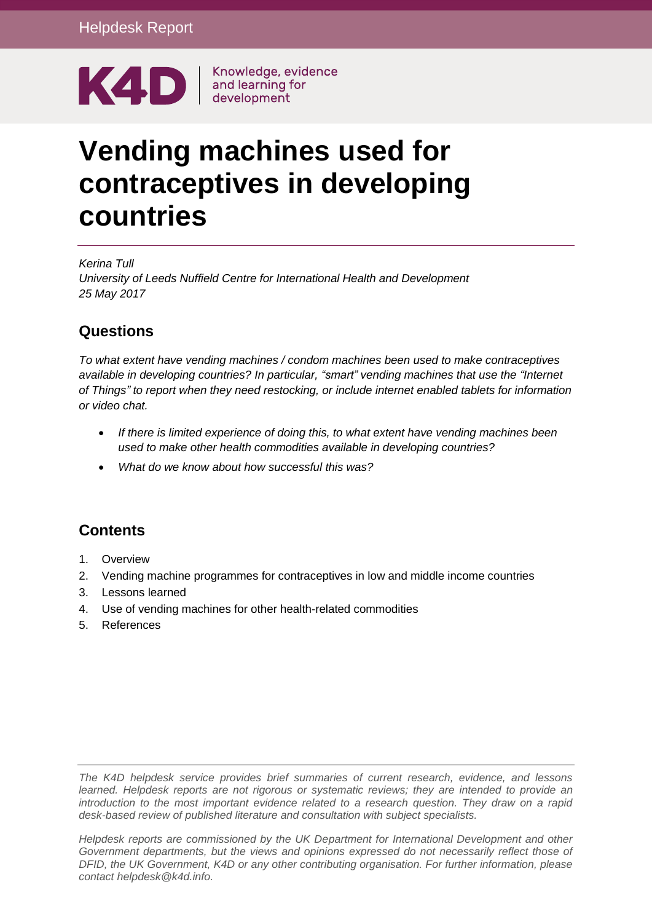

# **Vending machines used for contraceptives in developing countries**

*Kerina Tull University of Leeds Nuffield Centre for International Health and Development 25 May 2017*

# **Questions**

*To what extent have vending machines / condom machines been used to make contraceptives available in developing countries? In particular, "smart" vending machines that use the "Internet of Things" to report when they need restocking, or include internet enabled tablets for information or video chat.*

- *If there is limited experience of doing this, to what extent have vending machines been used to make other health commodities available in developing countries?*
- *What do we know about how successful this was?*

# **Contents**

- 1. [Overview](#page-0-0)
- 2. Vending machine programmes for contraceptives in low and middle income countries
- 3. Lessons learned
- 4. Use of vending machines for other health-related commodities
- <span id="page-0-0"></span>5. [References](#page-13-0)

*The K4D helpdesk service provides brief summaries of current research, evidence, and lessons learned. Helpdesk reports are not rigorous or systematic reviews; they are intended to provide an introduction to the most important evidence related to a research question. They draw on a rapid desk-based review of published literature and consultation with subject specialists.* 

*Helpdesk reports are commissioned by the UK Department for International Development and other*  Government departments, but the views and opinions expressed do not necessarily reflect those of *DFID, the UK Government, K4D or any other contributing organisation. For further information, please contact helpdesk@k4d.info.*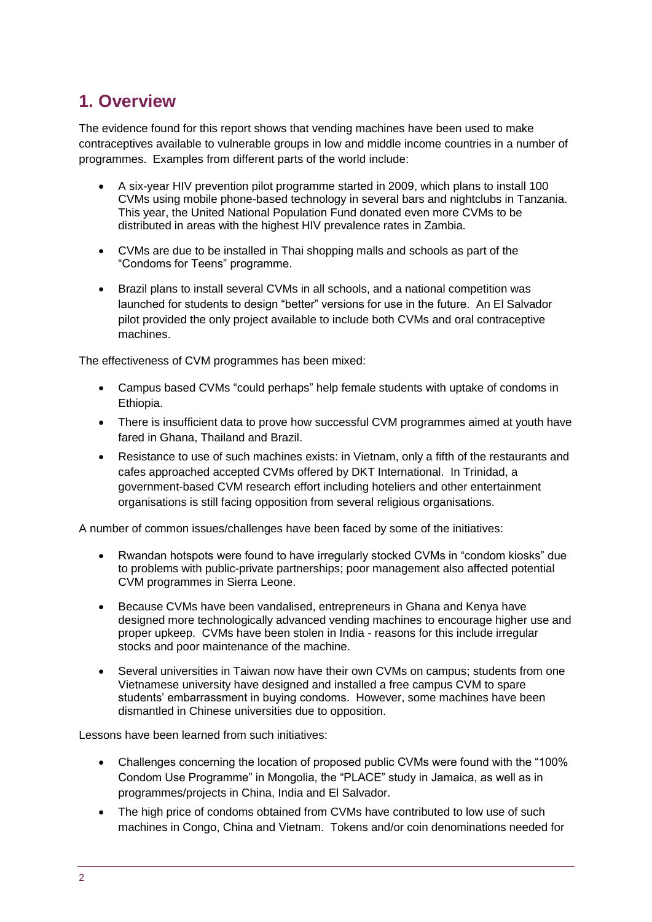# **1. Overview**

The evidence found for this report shows that vending machines have been used to make contraceptives available to vulnerable groups in low and middle income countries in a number of programmes. Examples from different parts of the world include:

- A six-year HIV prevention pilot programme started in 2009, which plans to install 100 CVMs using mobile phone-based technology in several bars and nightclubs in Tanzania. This year, the United National Population Fund donated even more CVMs to be distributed in areas with the highest HIV prevalence rates in Zambia*.*
- CVMs are due to be installed in Thai shopping malls and schools as part of the "Condoms for Teens" programme.
- Brazil plans to install several CVMs in all schools, and a national competition was launched for students to design "better" versions for use in the future. An El Salvador pilot provided the only project available to include both CVMs and oral contraceptive machines.

The effectiveness of CVM programmes has been mixed:

- Campus based CVMs "could perhaps" help female students with uptake of condoms in Ethiopia.
- There is insufficient data to prove how successful CVM programmes aimed at youth have fared in Ghana, Thailand and Brazil.
- Resistance to use of such machines exists: in Vietnam, only a fifth of the restaurants and cafes approached accepted CVMs offered by DKT International. In Trinidad, a government-based CVM research effort including hoteliers and other entertainment organisations is still facing opposition from several religious organisations.

A number of common issues/challenges have been faced by some of the initiatives:

- Rwandan hotspots were found to have irregularly stocked CVMs in "condom kiosks" due to problems with public-private partnerships; poor management also affected potential CVM programmes in Sierra Leone.
- Because CVMs have been vandalised, entrepreneurs in Ghana and Kenya have designed more technologically advanced vending machines to encourage higher use and proper upkeep. CVMs have been stolen in India - reasons for this include irregular stocks and poor maintenance of the machine.
- Several universities in Taiwan now have their own CVMs on campus; students from one Vietnamese university have designed and installed a free campus CVM to spare students' embarrassment in buying condoms. However, some machines have been dismantled in Chinese universities due to opposition.

Lessons have been learned from such initiatives:

- Challenges concerning the location of proposed public CVMs were found with the "100% Condom Use Programme" in Mongolia, the "PLACE" study in Jamaica, as well as in programmes/projects in China, India and El Salvador.
- The high price of condoms obtained from CVMs have contributed to low use of such machines in Congo, China and Vietnam. Tokens and/or coin denominations needed for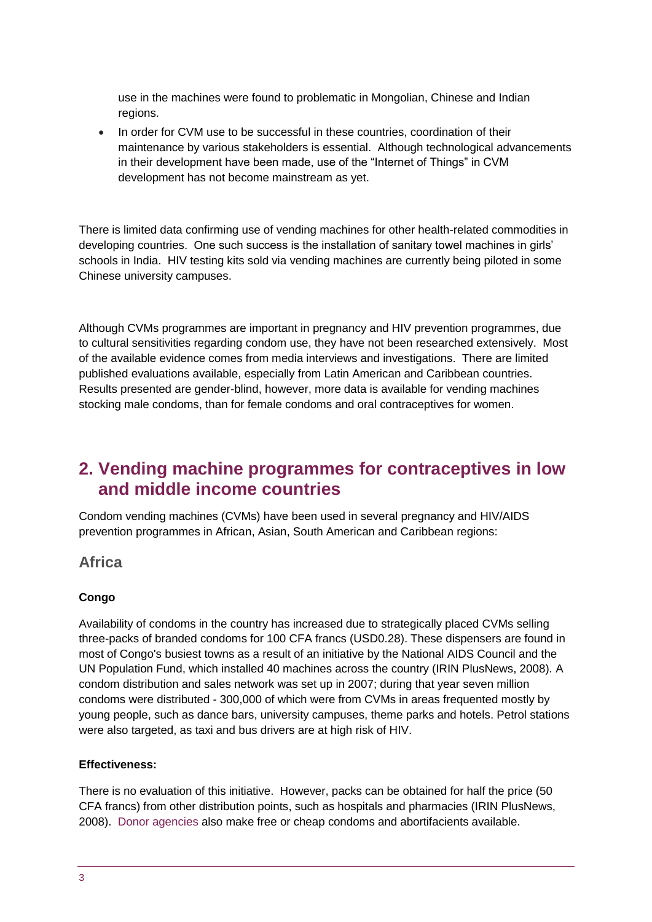use in the machines were found to problematic in Mongolian, Chinese and Indian regions.

• In order for CVM use to be successful in these countries, coordination of their maintenance by various stakeholders is essential. Although technological advancements in their development have been made, use of the "Internet of Things" in CVM development has not become mainstream as yet.

There is limited data confirming use of vending machines for other health-related commodities in developing countries. One such success is the installation of sanitary towel machines in girls' schools in India. HIV testing kits sold via vending machines are currently being piloted in some Chinese university campuses.

Although CVMs programmes are important in pregnancy and HIV prevention programmes, due to cultural sensitivities regarding condom use, they have not been researched extensively. Most of the available evidence comes from media interviews and investigations. There are limited published evaluations available, especially from Latin American and Caribbean countries. Results presented are gender-blind, however, more data is available for vending machines stocking male condoms, than for female condoms and oral contraceptives for women.

# **2. Vending machine programmes for contraceptives in low and middle income countries**

Condom vending machines (CVMs) have been used in several pregnancy and HIV/AIDS prevention programmes in African, Asian, South American and Caribbean regions:

### **Africa**

#### **Congo**

Availability of condoms in the country has increased due to strategically placed CVMs selling three-packs of branded condoms for 100 CFA francs (USD0.28). These dispensers are found in most of Congo's busiest towns as a result of an initiative by the National AIDS Council and the UN Population Fund, which installed 40 machines across the country (IRIN PlusNews, 2008). A condom distribution and sales network was set up in 2007; during that year seven million condoms were distributed - 300,000 of which were from CVMs in areas frequented mostly by young people, such as dance bars, university campuses, theme parks and hotels. Petrol stations were also targeted, as taxi and bus drivers are at high risk of HIV.

#### **Effectiveness:**

There is no evaluation of this initiative. However, packs can be obtained for half the price (50 CFA francs) from other distribution points, such as hospitals and pharmacies (IRIN PlusNews, 2008). [Donor agencies](https://www.lifesitenews.com/news/breaking-catholic-relief-services-dispensed-millions-of-condoms-abortifacie) also make free or cheap condoms and abortifacients available.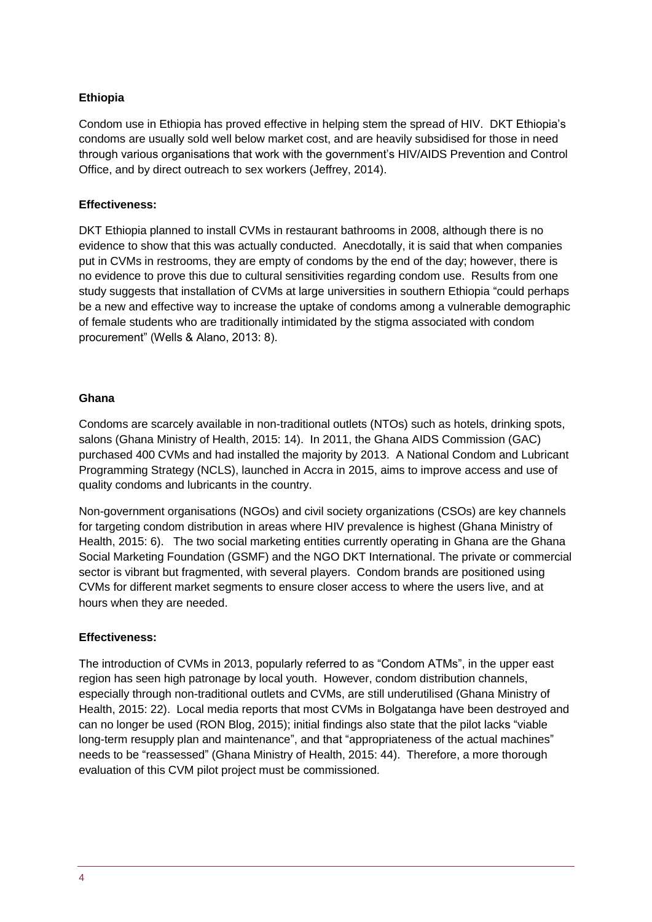#### **Ethiopia**

Condom use in Ethiopia has proved effective in helping stem the spread of HIV. DKT Ethiopia's condoms are usually sold well below market cost, and are heavily subsidised for those in need through various organisations that work with the government's HIV/AIDS Prevention and Control Office, and by direct outreach to sex workers (Jeffrey, 2014).

#### **Effectiveness:**

DKT Ethiopia planned to install CVMs in restaurant bathrooms in 2008, although there is no evidence to show that this was actually conducted. Anecdotally, it is said that when companies put in CVMs in restrooms, they are empty of condoms by the end of the day; however, there is no evidence to prove this due to cultural sensitivities regarding condom use. Results from one study suggests that installation of CVMs at large universities in southern Ethiopia "could perhaps be a new and effective way to increase the uptake of condoms among a vulnerable demographic of female students who are traditionally intimidated by the stigma associated with condom procurement" (Wells & Alano, 2013: 8).

#### **Ghana**

Condoms are scarcely available in non-traditional outlets (NTOs) such as hotels, drinking spots, salons (Ghana Ministry of Health, 2015: 14). In 2011, the Ghana AIDS Commission (GAC) purchased 400 CVMs and had installed the majority by 2013. A National Condom and Lubricant Programming Strategy (NCLS), launched in Accra in 2015, aims to improve access and use of quality condoms and lubricants in the country.

Non-government organisations (NGOs) and civil society organizations (CSOs) are key channels for targeting condom distribution in areas where HIV prevalence is highest (Ghana Ministry of Health, 2015: 6). The two social marketing entities currently operating in Ghana are the Ghana Social Marketing Foundation (GSMF) and the NGO DKT International. The private or commercial sector is vibrant but fragmented, with several players. Condom brands are positioned using CVMs for different market segments to ensure closer access to where the users live, and at hours when they are needed.

#### **Effectiveness:**

The introduction of CVMs in 2013, popularly referred to as "Condom ATMs", in the upper east region has seen high patronage by local youth. However, condom distribution channels, especially through non-traditional outlets and CVMs, are still underutilised (Ghana Ministry of Health, 2015: 22). Local media reports that most CVMs in Bolgatanga have been destroyed and can no longer be used (RON Blog, 2015); initial findings also state that the pilot lacks "viable long-term resupply plan and maintenance", and that "appropriateness of the actual machines" needs to be "reassessed" (Ghana Ministry of Health, 2015: 44). Therefore, a more thorough evaluation of this CVM pilot project must be commissioned.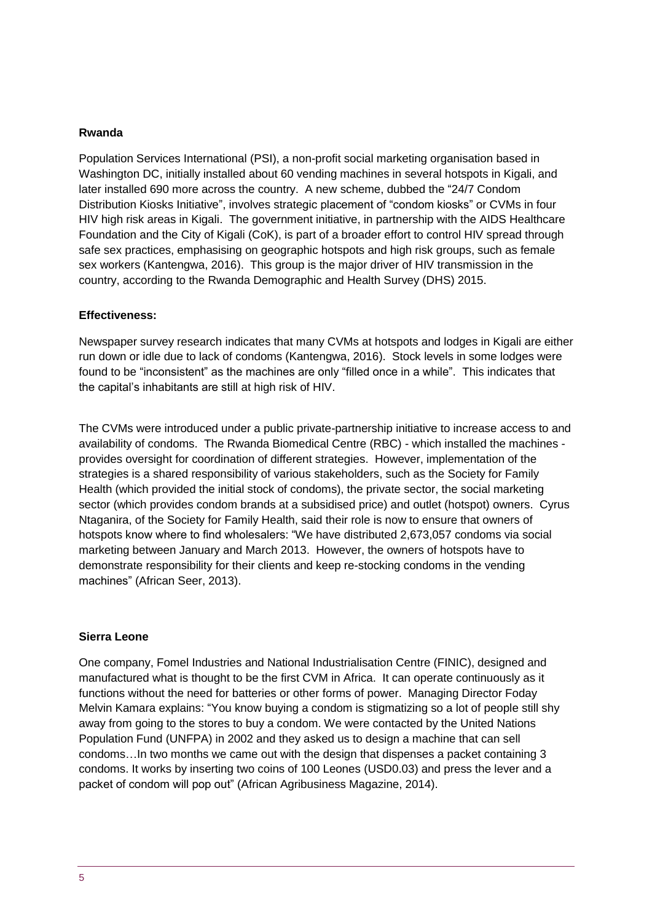#### **Rwanda**

Population Services International (PSI), a non-profit social marketing organisation based in Washington DC, initially installed about 60 vending machines in several hotspots in Kigali, and later installed 690 more across the country. A new scheme, dubbed the "24/7 Condom Distribution Kiosks Initiative", involves strategic placement of "condom kiosks" or CVMs in four HIV high risk areas in Kigali. The government initiative, in partnership with the AIDS Healthcare Foundation and the City of Kigali (CoK), is part of a broader effort to control HIV spread through safe sex practices, emphasising on geographic hotspots and high risk groups, such as female sex workers (Kantengwa, 2016). This group is the major driver of HIV transmission in the country, according to the Rwanda Demographic and Health Survey (DHS) 2015.

#### **Effectiveness:**

Newspaper survey research indicates that many CVMs at hotspots and lodges in Kigali are either run down or idle due to lack of condoms (Kantengwa, 2016). Stock levels in some lodges were found to be "inconsistent" as the machines are only "filled once in a while". This indicates that the capital's inhabitants are still at high risk of HIV.

The CVMs were introduced under a public private-partnership initiative to increase access to and availability of condoms. The Rwanda Biomedical Centre (RBC) - which installed the machines provides oversight for coordination of different strategies. However, implementation of the strategies is a shared responsibility of various stakeholders, such as the Society for Family Health (which provided the initial stock of condoms), the private sector, the social marketing sector (which provides condom brands at a subsidised price) and outlet (hotspot) owners. Cyrus Ntaganira, of the Society for Family Health, said their role is now to ensure that owners of hotspots know where to find wholesalers: "We have distributed 2,673,057 condoms via social marketing between January and March 2013. However, the owners of hotspots have to demonstrate responsibility for their clients and keep re-stocking condoms in the vending machines" (African Seer, 2013).

#### **Sierra Leone**

One company, Fomel Industries and National Industrialisation Centre (FINIC), designed and manufactured what is thought to be the first CVM in Africa. It can operate continuously as it functions without the need for batteries or other forms of power. Managing Director Foday Melvin Kamara explains: "You know buying a condom is stigmatizing so a lot of people still shy away from going to the stores to buy a condom. We were contacted by the United Nations Population Fund (UNFPA) in 2002 and they asked us to design a machine that can sell condoms…In two months we came out with the design that dispenses a packet containing 3 condoms. It works by inserting two coins of 100 Leones (USD0.03) and press the lever and a packet of condom will pop out" (African Agribusiness Magazine, 2014).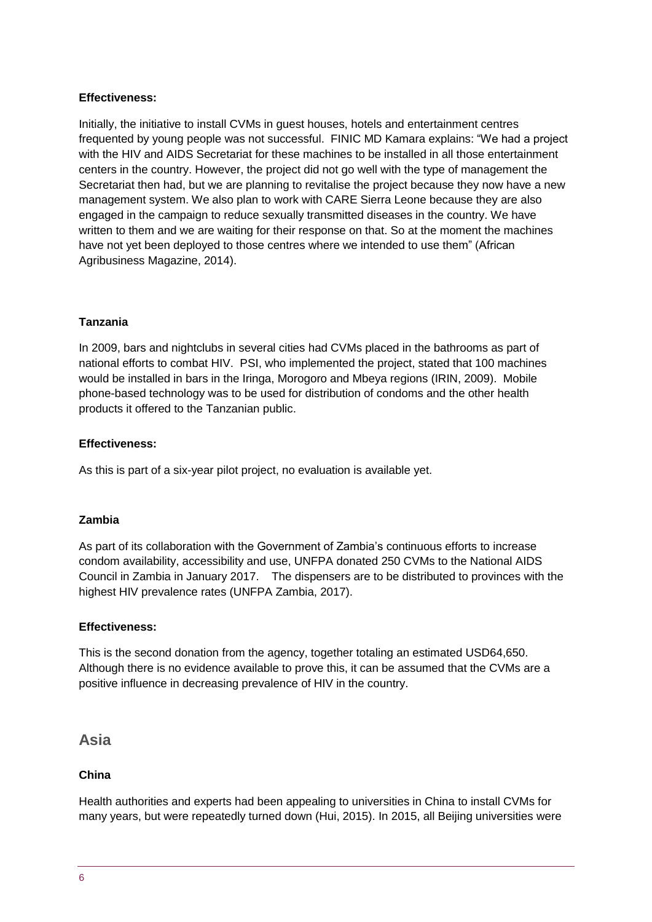#### **Effectiveness:**

Initially, the initiative to install CVMs in guest houses, hotels and entertainment centres frequented by young people was not successful. FINIC MD Kamara explains: "We had a project with the HIV and AIDS Secretariat for these machines to be installed in all those entertainment centers in the country. However, the project did not go well with the type of management the Secretariat then had, but we are planning to revitalise the project because they now have a new management system. We also plan to work with CARE Sierra Leone because they are also engaged in the campaign to reduce sexually transmitted diseases in the country. We have written to them and we are waiting for their response on that. So at the moment the machines have not yet been deployed to those centres where we intended to use them" (African Agribusiness Magazine, 2014).

#### **Tanzania**

In 2009, bars and nightclubs in several cities had CVMs placed in the bathrooms as part of national efforts to combat HIV. PSI, who implemented the project, stated that 100 machines would be installed in bars in the Iringa, Morogoro and Mbeya regions (IRIN, 2009). Mobile phone-based technology was to be used for distribution of condoms and the other health products it offered to the Tanzanian public.

#### **Effectiveness:**

As this is part of a six-year pilot project, no evaluation is available yet.

#### **Zambia**

As part of its collaboration with the Government of Zambia's continuous efforts to increase condom availability, accessibility and use, UNFPA donated 250 CVMs to the National AIDS Council in Zambia in January 2017. The dispensers are to be distributed to provinces with the highest HIV prevalence rates (UNFPA Zambia, 2017).

#### **Effectiveness:**

This is the second donation from the agency, together totaling an estimated USD64,650. Although there is no evidence available to prove this, it can be assumed that the CVMs are a positive influence in decreasing prevalence of HIV in the country.

### **Asia**

#### **China**

Health authorities and experts had been appealing to universities in China to install CVMs for many years, but were repeatedly turned down (Hui, 2015). In 2015, all Beijing universities were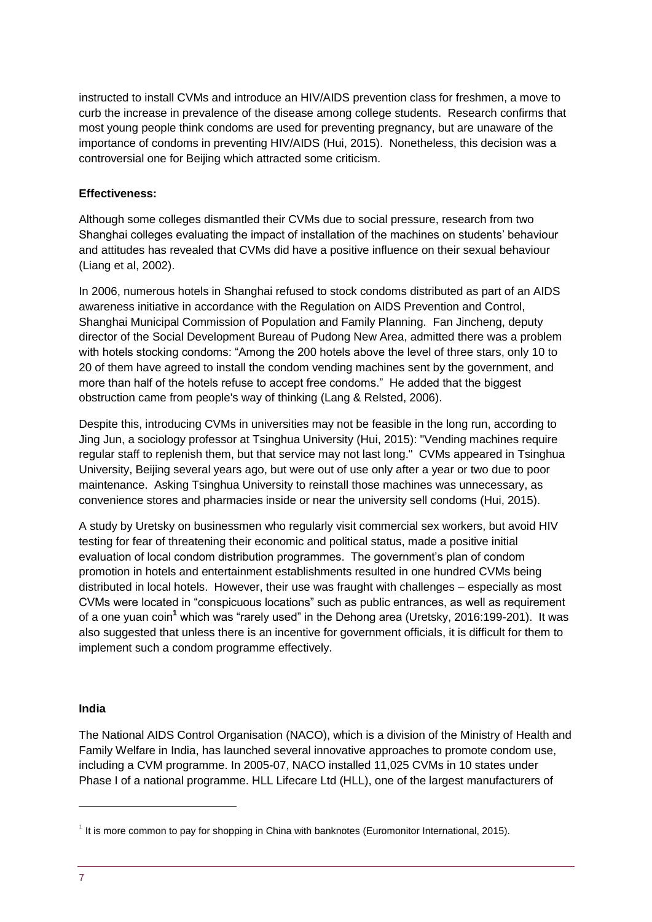instructed to install CVMs and introduce an HIV/AIDS prevention class for freshmen, a move to curb the increase in prevalence of the disease among college students. Research confirms that most young people think condoms are used for preventing pregnancy, but are unaware of the importance of condoms in preventing HIV/AIDS (Hui, 2015). Nonetheless, this decision was a controversial one for Beijing which attracted some criticism.

#### **Effectiveness:**

Although some colleges dismantled their CVMs due to social pressure, research from two Shanghai colleges evaluating the impact of installation of the machines on students' behaviour and attitudes has revealed that CVMs did have a positive influence on their sexual behaviour (Liang et al, 2002).

In 2006, numerous hotels in Shanghai refused to stock condoms distributed as part of an AIDS awareness initiative in accordance with the Regulation on AIDS Prevention and Control, Shanghai Municipal Commission of Population and Family Planning. Fan Jincheng, deputy director of the Social Development Bureau of Pudong New Area, admitted there was a problem with hotels stocking condoms: "Among the 200 hotels above the level of three stars, only 10 to 20 of them have agreed to install the condom vending machines sent by the government, and more than half of the hotels refuse to accept free condoms." He added that the biggest obstruction came from people's way of thinking (Lang & Relsted, 2006).

Despite this, introducing CVMs in universities may not be feasible in the long run, according to Jing Jun, a sociology professor at Tsinghua University (Hui, 2015): "Vending machines require regular staff to replenish them, but that service may not last long." CVMs appeared in Tsinghua University, Beijing several years ago, but were out of use only after a year or two due to poor maintenance. Asking Tsinghua University to reinstall those machines was unnecessary, as convenience stores and pharmacies inside or near the university sell condoms (Hui, 2015).

A study by Uretsky on businessmen who regularly visit commercial sex workers, but avoid HIV testing for fear of threatening their economic and political status, made a positive initial evaluation of local condom distribution programmes. The government's plan of condom promotion in hotels and entertainment establishments resulted in one hundred CVMs being distributed in local hotels. However, their use was fraught with challenges – especially as most CVMs were located in "conspicuous locations" such as public entrances, as well as requirement of a one yuan coin**<sup>1</sup>** which was "rarely used" in the Dehong area (Uretsky, 2016:199-201). It was also suggested that unless there is an incentive for government officials, it is difficult for them to implement such a condom programme effectively.

#### **India**

The National AIDS Control Organisation (NACO), which is a division of the Ministry of Health and Family Welfare in India, has launched several innovative approaches to promote condom use, including a CVM programme. In 2005-07, NACO installed 11,025 CVMs in 10 states under Phase I of a national programme. HLL Lifecare Ltd (HLL), one of the largest manufacturers of

1

 $1$  It is more common to pay for shopping in China with banknotes (Euromonitor International, 2015).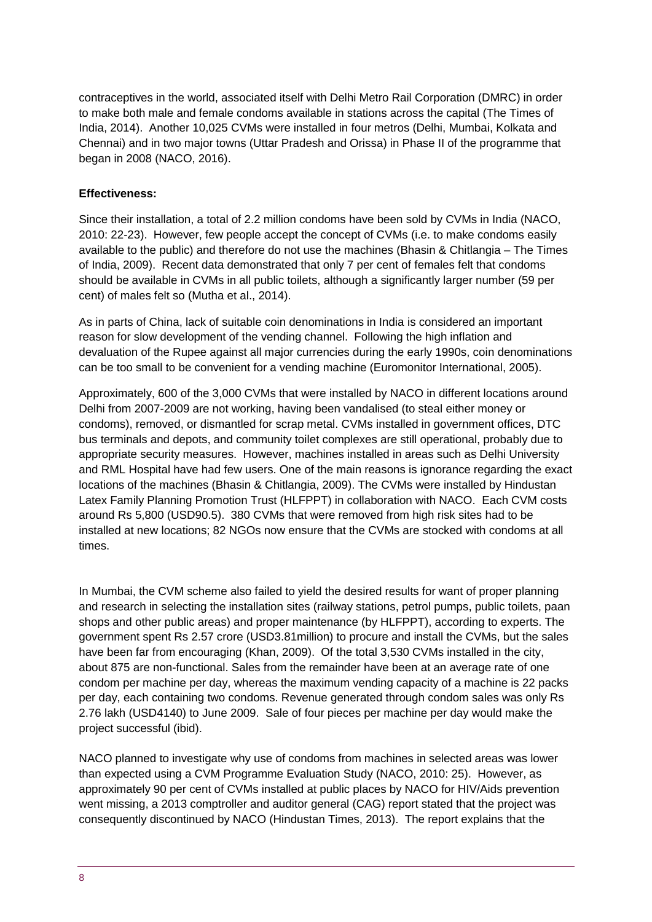contraceptives in the world, associated itself with Delhi Metro Rail Corporation (DMRC) in order to make both male and female condoms available in stations across the capital (The Times of India, 2014). Another 10,025 CVMs were installed in four metros (Delhi, Mumbai, Kolkata and Chennai) and in two major towns (Uttar Pradesh and Orissa) in Phase II of the programme that began in 2008 (NACO, 2016).

#### **Effectiveness:**

Since their installation, a total of 2.2 million condoms have been sold by CVMs in India (NACO, 2010: 22-23). However, few people accept the concept of CVMs (i.e. to make condoms easily available to the public) and therefore do not use the machines (Bhasin & Chitlangia – The Times of India, 2009). Recent data demonstrated that only 7 per cent of females felt that condoms should be available in CVMs in all public toilets, although a significantly larger number (59 per cent) of males felt so (Mutha et al., 2014).

As in parts of China, lack of suitable coin denominations in India is considered an important reason for slow development of the vending channel. Following the high inflation and devaluation of the Rupee against all major currencies during the early 1990s, coin denominations can be too small to be convenient for a vending machine (Euromonitor International, 2005).

Approximately, 600 of the 3,000 CVMs that were installed by NACO in different locations around Delhi from 2007-2009 are not working, having been vandalised (to steal either money or condoms), removed, or dismantled for scrap metal. CVMs installed in government offices, DTC bus terminals and depots, and community toilet complexes are still operational, probably due to appropriate security measures. However, machines installed in areas such as Delhi University and RML Hospital have had few users. One of the main reasons is ignorance regarding the exact locations of the machines (Bhasin & Chitlangia, 2009). The CVMs were installed by Hindustan Latex Family Planning Promotion Trust (HLFPPT) in collaboration with NACO. Each CVM costs around Rs 5,800 (USD90.5). 380 CVMs that were removed from high risk sites had to be installed at new locations; 82 NGOs now ensure that the CVMs are stocked with condoms at all times.

In Mumbai, the CVM scheme also failed to yield the desired results for want of proper planning and research in selecting the installation sites (railway stations, petrol pumps, public toilets, paan shops and other public areas) and proper maintenance (by HLFPPT), according to experts. The government spent Rs 2.57 crore (USD3.81million) to procure and install the CVMs, but the sales have been far from encouraging (Khan, 2009). Of the total 3,530 CVMs installed in the city, about 875 are non-functional. Sales from the remainder have been at an average rate of one condom per machine per day, whereas the maximum vending capacity of a machine is 22 packs per day, each containing two condoms. Revenue generated through condom sales was only Rs 2.76 lakh (USD4140) to June 2009. Sale of four pieces per machine per day would make the project successful (ibid).

NACO planned to investigate why use of condoms from machines in selected areas was lower than expected using a CVM Programme Evaluation Study (NACO, 2010: 25). However, as approximately 90 per cent of CVMs installed at public places by NACO for HIV/Aids prevention went missing, a 2013 comptroller and auditor general (CAG) report stated that the project was consequently discontinued by NACO (Hindustan Times, 2013). The report explains that the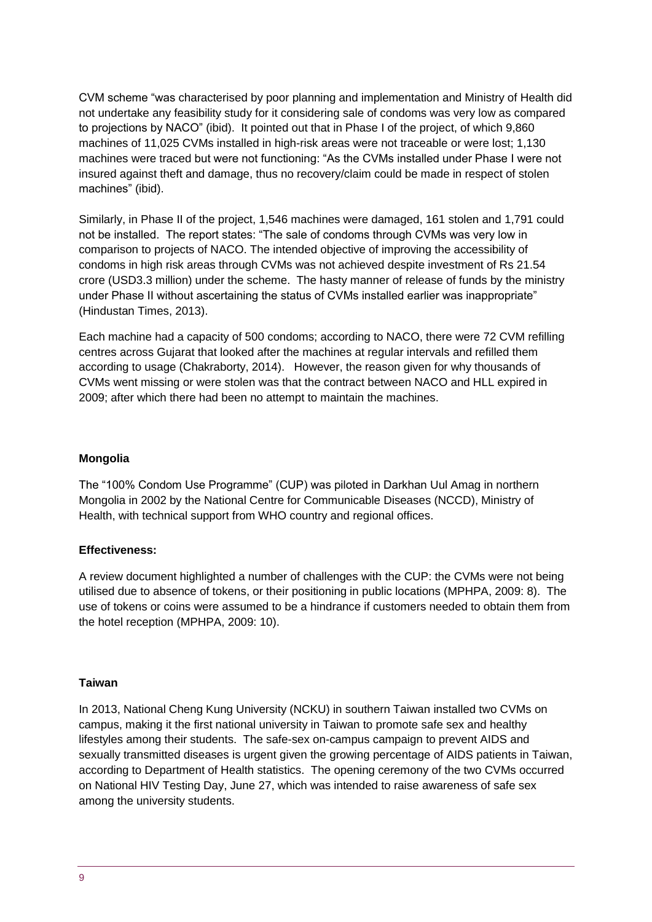CVM scheme "was characterised by poor planning and implementation and Ministry of Health did not undertake any feasibility study for it considering sale of condoms was very low as compared to projections by NACO" (ibid). It pointed out that in Phase I of the project, of which 9,860 machines of 11,025 CVMs installed in high-risk areas were not traceable or were lost; 1,130 machines were traced but were not functioning: "As the CVMs installed under Phase I were not insured against theft and damage, thus no recovery/claim could be made in respect of stolen machines" (ibid).

Similarly, in Phase II of the project, 1,546 machines were damaged, 161 stolen and 1,791 could not be installed. The report states: "The sale of condoms through CVMs was very low in comparison to projects of NACO. The intended objective of improving the accessibility of condoms in high risk areas through CVMs was not achieved despite investment of Rs 21.54 crore (USD3.3 million) under the scheme. The hasty manner of release of funds by the ministry under Phase II without ascertaining the status of CVMs installed earlier was inappropriate" (Hindustan Times, 2013).

Each machine had a capacity of 500 condoms; according to NACO, there were 72 CVM refilling centres across Gujarat that looked after the machines at regular intervals and refilled them according to usage [\(Chakraborty,](http://www.dnaindia.com/authors/rupsa-chakraborty) 2014). However, the reason given for why thousands of CVMs went missing or were stolen was that the contract between NACO and HLL expired in 2009; after which there had been no attempt to maintain the machines.

#### **Mongolia**

The "100% Condom Use Programme" (CUP) was piloted in Darkhan Uul Amag in northern Mongolia in 2002 by the National Centre for Communicable Diseases (NCCD), Ministry of Health, with technical support from WHO country and regional offices.

#### **Effectiveness:**

A review document highlighted a number of challenges with the CUP: the CVMs were not being utilised due to absence of tokens, or their positioning in public locations (MPHPA, 2009: 8). The use of tokens or coins were assumed to be a hindrance if customers needed to obtain them from the hotel reception (MPHPA, 2009: 10).

#### **Taiwan**

In 2013, National Cheng Kung University (NCKU) in southern Taiwan installed two CVMs on campus, making it the first national university in Taiwan to promote safe sex and healthy lifestyles among their students. The safe-sex on-campus campaign to prevent AIDS and sexually transmitted diseases is urgent given the growing percentage of AIDS patients in Taiwan, according to Department of Health statistics. The opening ceremony of the two CVMs occurred on National HIV Testing Day, June 27, which was intended to raise awareness of safe sex among the university students.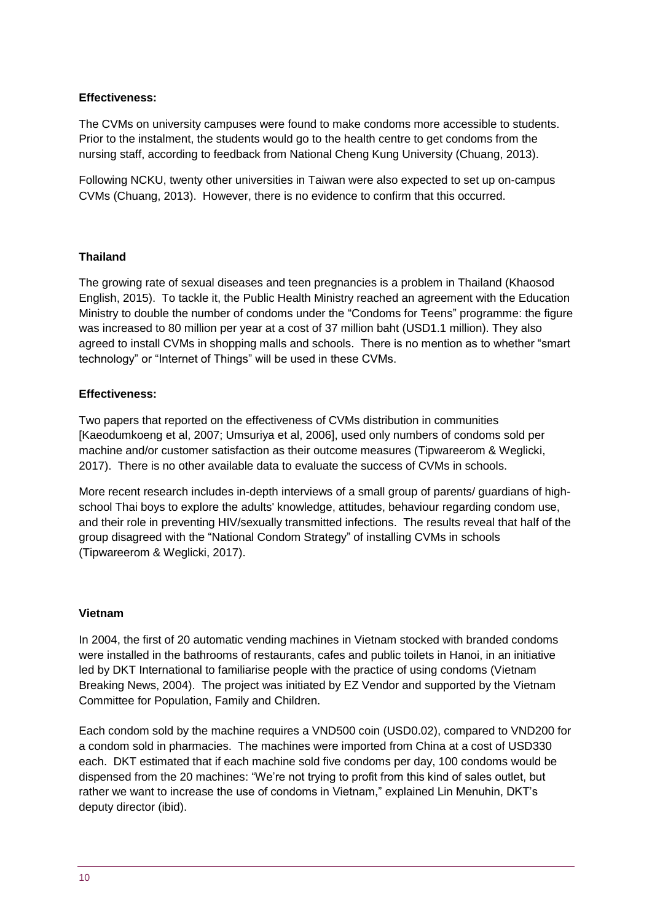#### **Effectiveness:**

The CVMs on university campuses were found to make condoms more accessible to students. Prior to the instalment, the students would go to the health centre to get condoms from the nursing staff, according to feedback from National Cheng Kung University (Chuang, 2013).

Following NCKU, twenty other universities in Taiwan were also expected to set up on-campus CVMs (Chuang, 2013). However, there is no evidence to confirm that this occurred.

#### **Thailand**

The growing rate of sexual diseases and teen pregnancies is a problem in Thailand (Khaosod English, 2015). To tackle it, the Public Health Ministry reached an agreement with the Education Ministry to double the number of condoms under the "Condoms for Teens" programme: the figure was increased to 80 million per year at a cost of 37 million baht (USD1.1 million). They also agreed to install CVMs in shopping malls and schools. There is no mention as to whether "smart technology" or "Internet of Things" will be used in these CVMs.

#### **Effectiveness:**

Two papers that reported on the effectiveness of CVMs distribution in communities [Kaeodumkoeng et al, 2007; Umsuriya et al, 2006], used only numbers of condoms sold per machine and/or customer satisfaction as their outcome measures (Tipwareerom & Weglicki, 2017). There is no other available data to evaluate the success of CVMs in schools.

More recent research includes in-depth interviews of a small group of parents/ guardians of highschool Thai boys to explore the adults' knowledge, attitudes, behaviour regarding condom use, and their role in preventing HIV/sexually transmitted infections. The results reveal that half of the group disagreed with the "National Condom Strategy" of installing CVMs in schools (Tipwareerom & Weglicki, 2017).

#### **Vietnam**

In 2004, the first of 20 automatic vending machines in Vietnam stocked with branded condoms were installed in the bathrooms of restaurants, cafes and public toilets in Hanoi, in an initiative led by DKT International to familiarise people with the practice of using condoms (Vietnam Breaking News, 2004). The project was initiated by EZ Vendor and supported by the Vietnam Committee for Population, Family and Children.

Each condom sold by the machine requires a VND500 coin (USD0.02), compared to VND200 for a condom sold in pharmacies. The machines were imported from China at a cost of USD330 each. DKT estimated that if each machine sold five condoms per day, 100 condoms would be dispensed from the 20 machines: "We're not trying to profit from this kind of sales outlet, but rather we want to increase the use of condoms in Vietnam," explained Lin Menuhin, DKT's deputy director (ibid).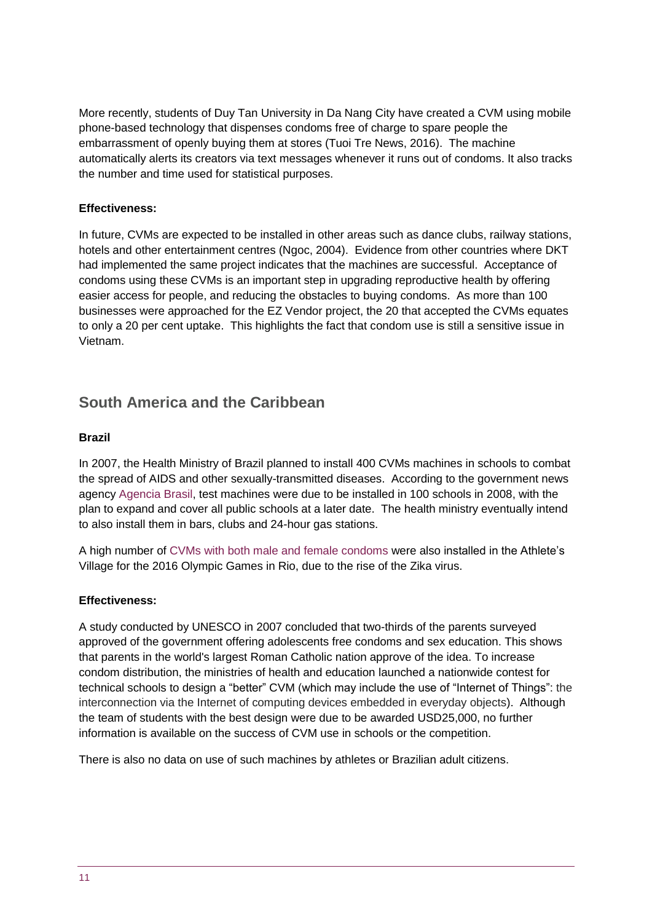More recently, students of Duy Tan University in Da Nang City have created a CVM using mobile phone-based technology that dispenses condoms free of charge to spare people the embarrassment of openly buying them at stores (Tuoi Tre News, 2016). The machine automatically alerts its creators via text messages whenever it runs out of condoms. It also tracks the number and time used for statistical purposes.

#### **Effectiveness:**

In future, CVMs are expected to be installed in other areas such as dance clubs, railway stations, hotels and other entertainment centres (Ngoc, 2004). Evidence from other countries where DKT had implemented the same project indicates that the machines are successful. Acceptance of condoms using these CVMs is an important step in upgrading reproductive health by offering easier access for people, and reducing the obstacles to buying condoms. As more than 100 businesses were approached for the EZ Vendor project, the 20 that accepted the CVMs equates to only a 20 per cent uptake. This highlights the fact that condom use is still a sensitive issue in Vietnam.

# **South America and the Caribbean**

#### **Brazil**

In 2007, the Health Ministry of Brazil planned to install 400 CVMs machines in schools to combat the spread of AIDS and other sexually-transmitted diseases. According to the government news agency [Agencia Brasil,](http://www.cbsnews.com/news/brazil-puts-condom-dispensers-in-schools/) test machines were due to be installed in 100 schools in 2008, with the plan to expand and cover all public schools at a later date. The health ministry eventually intend to also install them in bars, clubs and 24-hour gas stations.

A high number of [CVMs with both male and female condoms](https://qz.com/689356/the-rio-olympics-organizers-are-giving-out-enough-condoms-for-each-athlete-to-have-sex-84-times/) were also installed in the Athlete's Village for the 2016 Olympic Games in Rio, due to the rise of the Zika virus.

#### **Effectiveness:**

A study conducted by UNESCO in 2007 concluded that two-thirds of the parents surveyed approved of the government offering adolescents free condoms and sex education. This shows that parents in the world's largest Roman Catholic nation approve of the idea. To increase condom distribution, the ministries of health and education launched a nationwide contest for technical schools to design a "better" CVM (which may include the use of "Internet of Things": the interconnection via the Internet of computing devices embedded in everyday objects). Although the team of students with the best design were due to be awarded USD25,000, no further information is available on the success of CVM use in schools or the competition.

There is also no data on use of such machines by athletes or Brazilian adult citizens.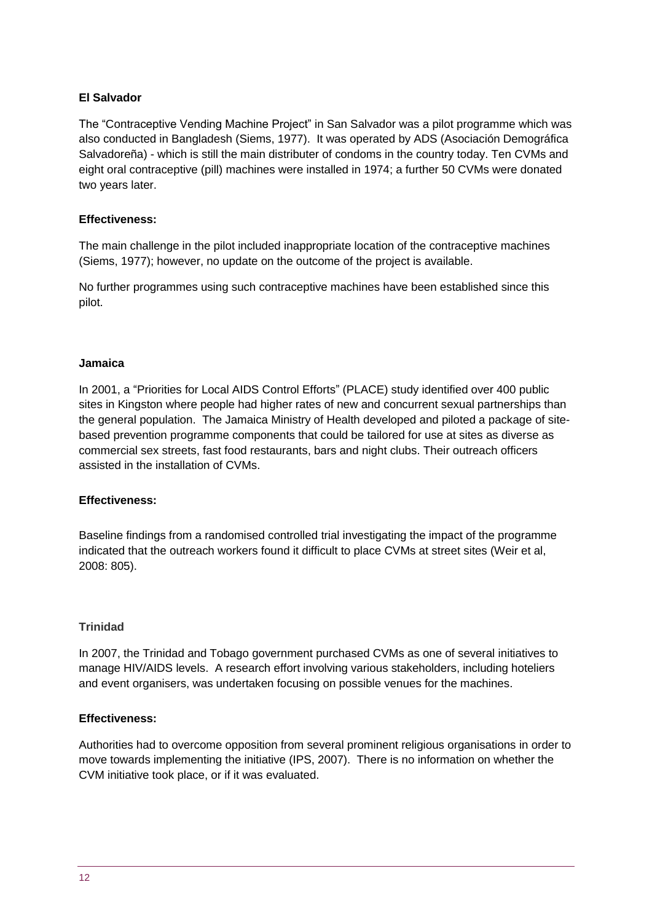#### **El Salvador**

The "Contraceptive Vending Machine Project" in San Salvador was a pilot programme which was also conducted in Bangladesh (Siems, 1977). It was operated by ADS (Asociación Demográfica Salvadoreña) - which is still the main distributer of condoms in the country today. Ten CVMs and eight oral contraceptive (pill) machines were installed in 1974; a further 50 CVMs were donated two years later.

#### **Effectiveness:**

The main challenge in the pilot included inappropriate location of the contraceptive machines (Siems, 1977); however, no update on the outcome of the project is available.

No further programmes using such contraceptive machines have been established since this pilot.

#### **Jamaica**

In 2001, a "Priorities for Local AIDS Control Efforts" (PLACE) study identified over 400 public sites in Kingston where people had higher rates of new and concurrent sexual partnerships than the general population. The Jamaica Ministry of Health developed and piloted a package of sitebased prevention programme components that could be tailored for use at sites as diverse as commercial sex streets, fast food restaurants, bars and night clubs. Their outreach officers assisted in the installation of CVMs.

#### **Effectiveness:**

Baseline findings from a randomised controlled trial investigating the impact of the programme indicated that the outreach workers found it difficult to place CVMs at street sites (Weir et al, 2008: 805).

#### **Trinidad**

In 2007, the Trinidad and Tobago government purchased CVMs as one of several initiatives to manage HIV/AIDS levels. A research effort involving various stakeholders, including hoteliers and event organisers, was undertaken focusing on possible venues for the machines.

#### **Effectiveness:**

Authorities had to overcome opposition from several prominent religious organisations in order to move towards implementing the initiative (IPS, 2007). There is no information on whether the CVM initiative took place, or if it was evaluated.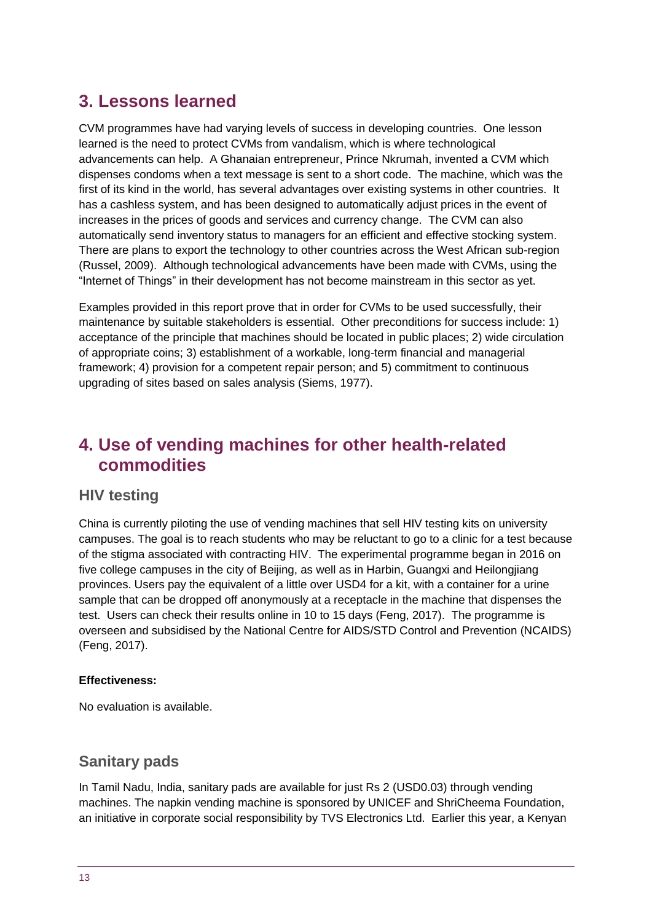# **3. Lessons learned**

CVM programmes have had varying levels of success in developing countries. One lesson learned is the need to protect CVMs from vandalism, which is where technological advancements can help. A Ghanaian entrepreneur, Prince Nkrumah, invented a CVM which dispenses condoms when a text message is sent to a short code. The machine, which was the first of its kind in the world, has several advantages over existing systems in other countries. It has a cashless system, and has been designed to automatically adjust prices in the event of increases in the prices of goods and services and currency change. The CVM can also automatically send inventory status to managers for an efficient and effective stocking system. There are plans to export the technology to other countries across the West African sub-region (Russel, 2009). Although technological advancements have been made with CVMs, using the "Internet of Things" in their development has not become mainstream in this sector as yet.

Examples provided in this report prove that in order for CVMs to be used successfully, their maintenance by suitable stakeholders is essential. Other preconditions for success include: 1) acceptance of the principle that machines should be located in public places; 2) wide circulation of appropriate coins; 3) establishment of a workable, long-term financial and managerial framework; 4) provision for a competent repair person; and 5) commitment to continuous upgrading of sites based on sales analysis (Siems, 1977).

# **4. Use of vending machines for other health-related commodities**

### **HIV testing**

China is currently piloting the use of vending machines that sell HIV testing kits on university campuses. The goal is to reach students who may be reluctant to go to a clinic for a test because of the stigma associated with contracting HIV. The experimental programme began in 2016 on five college campuses in the city of Beijing, as well as in Harbin, Guangxi and Heilongjiang provinces. Users pay the equivalent of a little over USD4 for a kit, with a container for a urine sample that can be dropped off anonymously at a receptacle in the machine that dispenses the test. Users can check their results online in 10 to 15 days (Feng, 2017). The programme is overseen and subsidised by the National Centre for AIDS/STD Control and Prevention (NCAIDS) (Feng, 2017).

#### **Effectiveness:**

No evaluation is available.

# **Sanitary pads**

In Tamil Nadu, India, sanitary pads are available for just Rs 2 (USD0.03) through vending machines. The napkin vending machine is sponsored by UNICEF and ShriCheema Foundation, an initiative in corporate social responsibility by TVS Electronics Ltd. Earlier this year, a Kenyan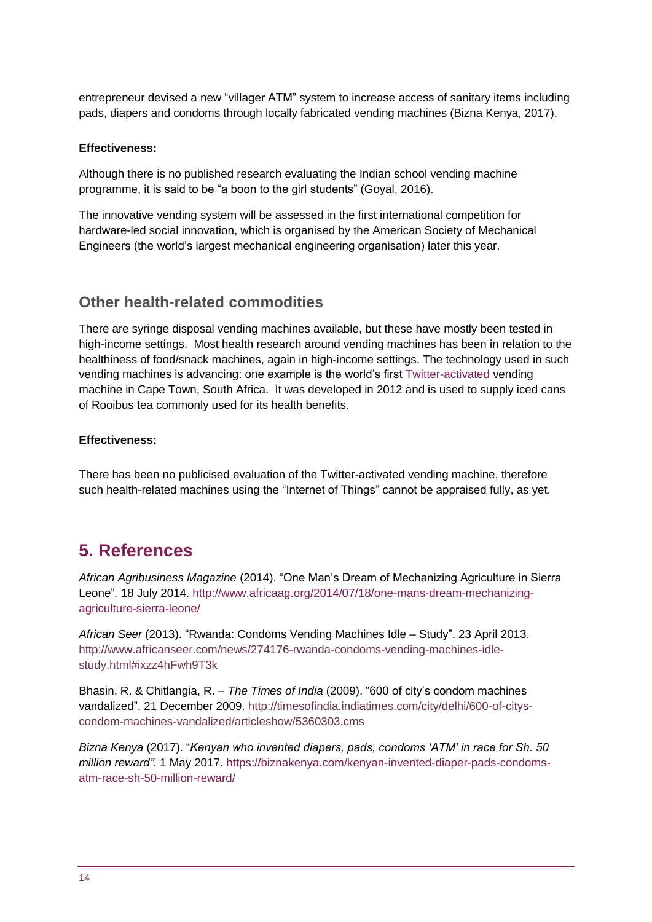entrepreneur devised a new "villager ATM" system to increase access of sanitary items including pads, diapers and condoms through locally fabricated vending machines (Bizna Kenya, 2017).

#### **Effectiveness:**

Although there is no published research evaluating the Indian school vending machine programme, it is said to be "a boon to the girl students" (Goyal, 2016).

The innovative vending system will be assessed in the first international competition for hardware-led social innovation, which is organised by the American Society of Mechanical Engineers (the world's largest mechanical engineering organisation) later this year.

### **Other health-related commodities**

There are syringe disposal vending machines available, but these have mostly been tested in high-income settings. Most health research around vending machines has been in relation to the healthiness of food/snack machines, again in high-income settings. The technology used in such vending machines is advancing: one example is the world's first [Twitter-activated](https://memeburn.com/2012/06/fancy-an-ice-tea-just-tweet-the-vending-machine/) vending machine in Cape Town, South Africa. It was developed in 2012 and is used to supply iced cans of Rooibus tea commonly used for its health benefits.

#### **Effectiveness:**

There has been no publicised evaluation of the Twitter-activated vending machine, therefore such health-related machines using the "Internet of Things" cannot be appraised fully, as yet.

# <span id="page-13-0"></span>**5. References**

*African Agribusiness Magazine* (2014). "One Man's Dream of Mechanizing Agriculture in Sierra Leone"*.* 18 July 2014. [http://www.africaag.org/2014/07/18/one-mans-dream-mechanizing](http://www.africaag.org/2014/07/18/one-mans-dream-mechanizing-agriculture-sierra-leone/)[agriculture-sierra-leone/](http://www.africaag.org/2014/07/18/one-mans-dream-mechanizing-agriculture-sierra-leone/)

*African Seer* (2013). "Rwanda: Condoms Vending Machines Idle – Study". 23 April 2013. [http://www.africanseer.com/news/274176-rwanda-condoms-vending-machines-idle](http://www.africanseer.com/news/274176-rwanda-condoms-vending-machines-idle-study.html#ixzz4hFwh9T3k)[study.html#ixzz4hFwh9T3k](http://www.africanseer.com/news/274176-rwanda-condoms-vending-machines-idle-study.html#ixzz4hFwh9T3k)

Bhasin, R. & Chitlangia, R. – *The Times of India* (2009). "600 of city's condom machines vandalized". 21 December 2009. [http://timesofindia.indiatimes.com/city/delhi/600-of-citys](http://timesofindia.indiatimes.com/city/delhi/600-of-citys-condom-machines-vandalized/articleshow/5360303.cms)[condom-machines-vandalized/articleshow/5360303.cms](http://timesofindia.indiatimes.com/city/delhi/600-of-citys-condom-machines-vandalized/articleshow/5360303.cms)

*Bizna Kenya* (2017). "*Kenyan who invented diapers, pads, condoms 'ATM' in race for Sh. 50 million reward".* 1 May 2017. [https://biznakenya.com/kenyan-invented-diaper-pads-condoms](https://biznakenya.com/kenyan-invented-diaper-pads-condoms-atm-race-sh-50-million-reward/)[atm-race-sh-50-million-reward/](https://biznakenya.com/kenyan-invented-diaper-pads-condoms-atm-race-sh-50-million-reward/)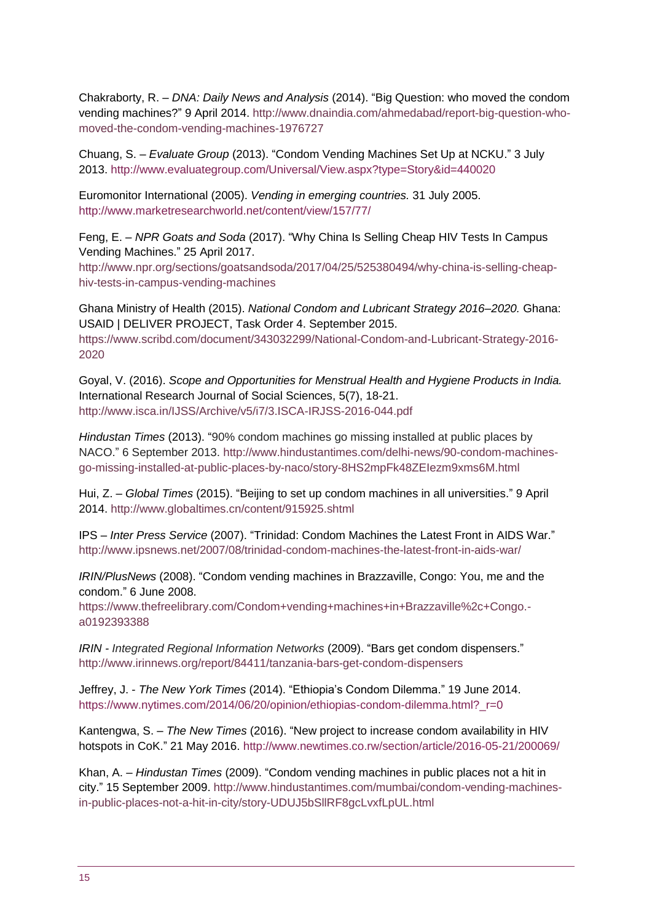[Chakraborty,](http://www.dnaindia.com/authors/rupsa-chakraborty) R. – *DNA: Daily News and Analysis* (2014). "Big Question: who moved the condom vending machines?" 9 April 2014. [http://www.dnaindia.com/ahmedabad/report-big-question-who](http://www.dnaindia.com/ahmedabad/report-big-question-who-moved-the-condom-vending-machines-1976727)[moved-the-condom-vending-machines-1976727](http://www.dnaindia.com/ahmedabad/report-big-question-who-moved-the-condom-vending-machines-1976727)

Chuang, S. – *Evaluate Group* (2013). "Condom Vending Machines Set Up at NCKU." 3 July 2013.<http://www.evaluategroup.com/Universal/View.aspx?type=Story&id=440020>

Euromonitor International (2005). *Vending in emerging countries.* 31 July 2005. <http://www.marketresearchworld.net/content/view/157/77/>

Feng, E. – *NPR Goats and Soda* (2017). "Why China Is Selling Cheap HIV Tests In Campus Vending Machines." 25 April 2017.

[http://www.npr.org/sections/goatsandsoda/2017/04/25/525380494/why-china-is-selling-cheap](http://www.npr.org/sections/goatsandsoda/2017/04/25/525380494/why-china-is-selling-cheap-hiv-tests-in-campus-vending-machines)[hiv-tests-in-campus-vending-machines](http://www.npr.org/sections/goatsandsoda/2017/04/25/525380494/why-china-is-selling-cheap-hiv-tests-in-campus-vending-machines)

Ghana Ministry of Health (2015). *National Condom and Lubricant Strategy 2016–2020.* Ghana: USAID | DELIVER PROJECT, Task Order 4. September 2015. [https://www.scribd.com/document/343032299/National-Condom-and-Lubricant-Strategy-2016-](https://www.scribd.com/document/343032299/National-Condom-and-Lubricant-Strategy-2016-2020) [2020](https://www.scribd.com/document/343032299/National-Condom-and-Lubricant-Strategy-2016-2020)

Goyal, V. (2016). *Scope and Opportunities for Menstrual Health and Hygiene Products in India.* International Research Journal of Social Sciences, 5(7), 18-21. <http://www.isca.in/IJSS/Archive/v5/i7/3.ISCA-IRJSS-2016-044.pdf>

*Hindustan Times* (2013). "90% condom machines go missing installed at public places by NACO." 6 September 2013. [http://www.hindustantimes.com/delhi-news/90-condom-machines](http://www.hindustantimes.com/delhi-news/90-condom-machines-go-missing-installed-at-public-places-by-naco/story-8HS2mpFk48ZEIezm9xms6M.html)[go-missing-installed-at-public-places-by-naco/story-8HS2mpFk48ZEIezm9xms6M.html](http://www.hindustantimes.com/delhi-news/90-condom-machines-go-missing-installed-at-public-places-by-naco/story-8HS2mpFk48ZEIezm9xms6M.html)

Hui, Z. – *Global Times* (2015). "Beijing to set up condom machines in all universities." 9 April 2014.<http://www.globaltimes.cn/content/915925.shtml>

IPS – *Inter Press Service* (2007). "Trinidad: Condom Machines the Latest Front in AIDS War." <http://www.ipsnews.net/2007/08/trinidad-condom-machines-the-latest-front-in-aids-war/>

*IRIN/PlusNews* (2008). "Condom vending machines in Brazzaville, Congo: You, me and the condom." 6 June 2008.

[https://www.thefreelibrary.com/Condom+vending+machines+in+Brazzaville%2c+Congo.](https://www.thefreelibrary.com/Condom+vending+machines+in+Brazzaville%2c+Congo.-a0192393388) [a0192393388](https://www.thefreelibrary.com/Condom+vending+machines+in+Brazzaville%2c+Congo.-a0192393388)

*IRIN - Integrated Regional Information Networks* (2009). "Bars get condom dispensers." <http://www.irinnews.org/report/84411/tanzania-bars-get-condom-dispensers>

Jeffrey, J. - *The New York Times* (2014). "Ethiopia's Condom Dilemma." 19 June 2014. [https://www.nytimes.com/2014/06/20/opinion/ethiopias-condom-dilemma.html?\\_r=0](https://www.nytimes.com/2014/06/20/opinion/ethiopias-condom-dilemma.html?_r=0)

Kantengwa, S. – *The New Times* (2016). "New project to increase condom availability in HIV hotspots in CoK." 21 May 2016.<http://www.newtimes.co.rw/section/article/2016-05-21/200069/>

Khan, A. – *Hindustan Times* (2009). "Condom vending machines in public places not a hit in city." 15 September 2009. [http://www.hindustantimes.com/mumbai/condom-vending-machines](http://www.hindustantimes.com/mumbai/condom-vending-machines-in-public-places-not-a-hit-in-city/story-UDUJ5bSllRF8gcLvxfLpUL.html)[in-public-places-not-a-hit-in-city/story-UDUJ5bSllRF8gcLvxfLpUL.html](http://www.hindustantimes.com/mumbai/condom-vending-machines-in-public-places-not-a-hit-in-city/story-UDUJ5bSllRF8gcLvxfLpUL.html)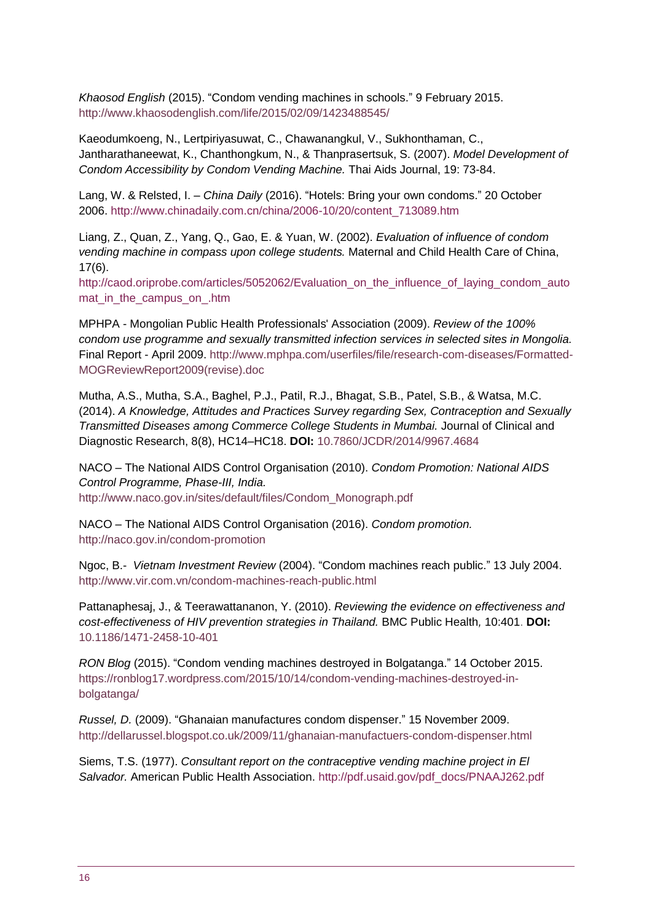*Khaosod English* (2015). "Condom vending machines in schools." 9 February 2015. <http://www.khaosodenglish.com/life/2015/02/09/1423488545/>

Kaeodumkoeng, N., Lertpiriyasuwat, C., Chawanangkul, V., Sukhonthaman, C., Jantharathaneewat, K., Chanthongkum, N., & Thanprasertsuk, S. (2007). *Model Development of Condom Accessibility by Condom Vending Machine.* Thai Aids Journal, 19: 73-84.

Lang, W. & Relsted, I. – *China Daily* (2016). "Hotels: Bring your own condoms." 20 October 2006. [http://www.chinadaily.com.cn/china/2006-10/20/content\\_713089.htm](http://www.chinadaily.com.cn/china/2006-10/20/content_713089.htm)

Liang, Z., Quan, Z., Yang, Q., Gao, E. & Yuan, W. (2002). *Evaluation of influence of condom vending machine in compass upon college students.* Maternal and Child Health Care of China, 17(6).

[http://caod.oriprobe.com/articles/5052062/Evaluation\\_on\\_the\\_influence\\_of\\_laying\\_condom\\_auto](http://caod.oriprobe.com/articles/5052062/Evaluation_on_the_influence_of_laying_condom_automat_in_the_campus_on_.htm) mat in the campus on .htm

MPHPA - Mongolian Public Health Professionals' Association (2009). *Review of the 100% condom use programme and sexually transmitted infection services in selected sites in Mongolia.* Final Report - April 2009. [http://www.mphpa.com/userfiles/file/research-com-diseases/Formatted-](http://www.mphpa.com/userfiles/file/research-com-diseases/Formatted-MOGReviewReport2009(revise).doc)[MOGReviewReport2009\(revise\).doc](http://www.mphpa.com/userfiles/file/research-com-diseases/Formatted-MOGReviewReport2009(revise).doc)

Mutha, A.S., Mutha, S.A., Baghel, P.J., Patil, R.J., Bhagat, S.B., Patel, S.B., & Watsa, M.C. (2014). *A Knowledge, Attitudes and Practices Survey regarding Sex, Contraception and Sexually Transmitted Diseases among Commerce College Students in Mumbai.* [Journal of Clinical and](https://www.ncbi.nlm.nih.gov/pmc/articles/PMC4190736/)  [Diagnostic Rese](https://www.ncbi.nlm.nih.gov/pmc/articles/PMC4190736/)arch, 8(8), HC14–HC18. **DOI:** [10.7860/JCDR/2014/9967.4684](https://dx.doi.org/10.7860%2FJCDR%2F2014%2F9967.4684)

NACO – The National AIDS Control Organisation (2010). *Condom Promotion: National AIDS Control Programme, Phase-III, India.*  [http://www.naco.gov.in/sites/default/files/Condom\\_Monograph.pdf](http://www.naco.gov.in/sites/default/files/Condom_Monograph.pdf)

NACO – The National AIDS Control Organisation (2016). *Condom promotion.*  <http://naco.gov.in/condom-promotion>

Ngoc, B.- *Vietnam Investment Review* (2004). "Condom machines reach public." 13 July 2004. <http://www.vir.com.vn/condom-machines-reach-public.html>

Pattanaphesaj, J., & Teerawattanano[n,](http://bmcpublichealth.biomedcentral.com/articles/10.1186/1471-2458-10-401#Aff1) Y. (2010). *Reviewing the evidence on effectiveness and cost-effectiveness of HIV prevention strategies in Thailand.* BMC Public Health*,* 10:401. **[DOI:](http://bmcpublichealth.biomedcentral.com/articles/10.1186/1471-2458-10-401)** [10.1186/1471-2458-10-401](http://bmcpublichealth.biomedcentral.com/articles/10.1186/1471-2458-10-401)

*RON Blog* (2015). ["Condom vending machines destroyed in](https://ronblog17.wordpress.com/2015/10/14/condom-vending-machines-destroyed-in-bolgatanga/) Bolgatanga." 14 October 2015. [https://ronblog17.wordpress.com/2015/10/14/condom-vending-machines-destroyed-in](https://ronblog17.wordpress.com/2015/10/14/condom-vending-machines-destroyed-in-bolgatanga/)[bolgatanga/](https://ronblog17.wordpress.com/2015/10/14/condom-vending-machines-destroyed-in-bolgatanga/)

*Russel, D.* (2009). "Ghanaian manufactures condom dispenser." 15 November 2009. <http://dellarussel.blogspot.co.uk/2009/11/ghanaian-manufactuers-condom-dispenser.html>

Siems, T.S. (1977). *Consultant report on the contraceptive vending machine project in El Salvador.* American Public Health Association. [http://pdf.usaid.gov/pdf\\_docs/PNAAJ262.pdf](http://pdf.usaid.gov/pdf_docs/PNAAJ262.pdf)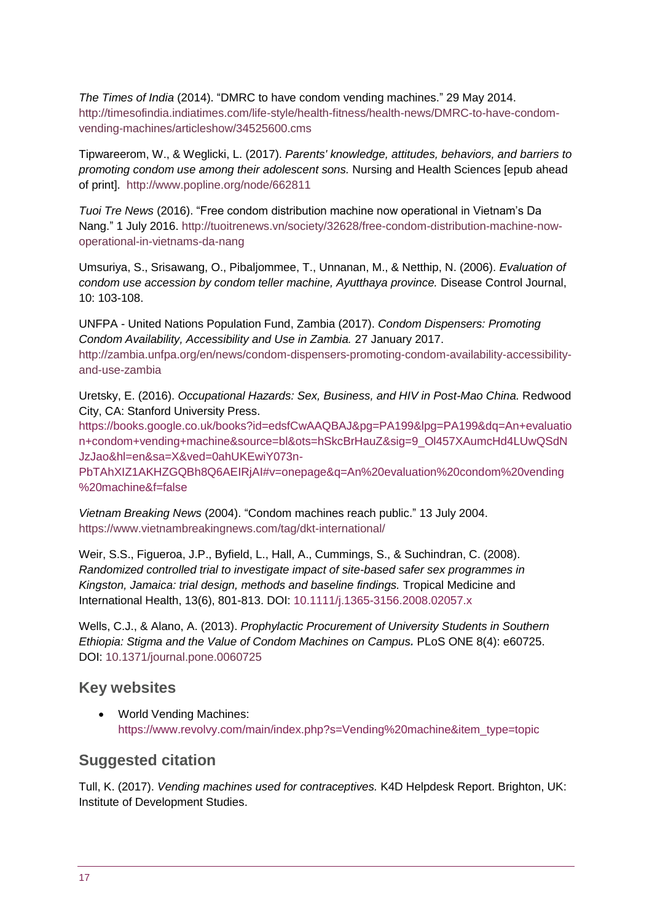*The Times of India* (2014). "DMRC to have condom vending machines." 29 May 2014. [http://timesofindia.indiatimes.com/life-style/health-fitness/health-news/DMRC-to-have-condom](http://timesofindia.indiatimes.com/life-style/health-fitness/health-news/DMRC-to-have-condom-vending-machines/articleshow/34525600.cms)[vending-machines/articleshow/34525600.cms](http://timesofindia.indiatimes.com/life-style/health-fitness/health-news/DMRC-to-have-condom-vending-machines/articleshow/34525600.cms)

Tipwareerom, W., & Weglicki, L. (2017). *Parents' knowledge, attitudes, behaviors, and barriers to promoting condom use among their adolescent sons.* Nursing and Health Sciences [epub ahead of print]. <http://www.popline.org/node/662811>

*Tuoi Tre News* (2016). "Free condom distribution machine now operational in Vietnam's Da Nang." 1 July 2016. [http://tuoitrenews.vn/society/32628/free-condom-distribution-machine-now](http://tuoitrenews.vn/society/32628/free-condom-distribution-machine-now-operational-in-vietnams-da-nang)[operational-in-vietnams-da-nang](http://tuoitrenews.vn/society/32628/free-condom-distribution-machine-now-operational-in-vietnams-da-nang)

Umsuriya, S., Srisawang, O., Pibaljommee, T., Unnanan, M., & Netthip, N. (2006). *Evaluation of condom use accession by condom teller machine, Ayutthaya province.* Disease Control Journal, 10: 103-108.

UNFPA - United Nations Population Fund, Zambia (2017). *Condom Dispensers: Promoting Condom Availability, Accessibility and Use in Zambia.* 27 January 2017. [http://zambia.unfpa.org/en/news/condom-dispensers-promoting-condom-availability-accessibility](http://zambia.unfpa.org/en/news/condom-dispensers-promoting-condom-availability-accessibility-and-use-zambia)[and-use-zambia](http://zambia.unfpa.org/en/news/condom-dispensers-promoting-condom-availability-accessibility-and-use-zambia)

Uretsky, E. (2016). *Occupational Hazards: Sex, Business, and HIV in Post-Mao China.* Redwood City, CA: Stanford University Press.

[https://books.google.co.uk/books?id=edsfCwAAQBAJ&pg=PA199&lpg=PA199&dq=An+evaluatio](https://books.google.co.uk/books?id=edsfCwAAQBAJ&pg=PA199&lpg=PA199&dq=An+evaluation+condom+vending+machine&source=bl&ots=hSkcBrHauZ&sig=9_Ol457XAumcHd4LUwQSdNJzJao&hl=en&sa=X&ved=0ahUKEwiY073n-PbTAhXIZ1AKHZGQBh8Q6AEIRjAI%23v=onepage&q=An%20evaluation%20condom%20vending%20machine&f=false) [n+condom+vending+machine&source=bl&ots=hSkcBrHauZ&sig=9\\_Ol457XAumcHd4LUwQSdN](https://books.google.co.uk/books?id=edsfCwAAQBAJ&pg=PA199&lpg=PA199&dq=An+evaluation+condom+vending+machine&source=bl&ots=hSkcBrHauZ&sig=9_Ol457XAumcHd4LUwQSdNJzJao&hl=en&sa=X&ved=0ahUKEwiY073n-PbTAhXIZ1AKHZGQBh8Q6AEIRjAI%23v=onepage&q=An%20evaluation%20condom%20vending%20machine&f=false) [JzJao&hl=en&sa=X&ved=0ahUKEwiY073n-](https://books.google.co.uk/books?id=edsfCwAAQBAJ&pg=PA199&lpg=PA199&dq=An+evaluation+condom+vending+machine&source=bl&ots=hSkcBrHauZ&sig=9_Ol457XAumcHd4LUwQSdNJzJao&hl=en&sa=X&ved=0ahUKEwiY073n-PbTAhXIZ1AKHZGQBh8Q6AEIRjAI%23v=onepage&q=An%20evaluation%20condom%20vending%20machine&f=false)

[PbTAhXIZ1AKHZGQBh8Q6AEIRjAI#v=onepage&q=An%20evaluation%20condom%20vending](https://books.google.co.uk/books?id=edsfCwAAQBAJ&pg=PA199&lpg=PA199&dq=An+evaluation+condom+vending+machine&source=bl&ots=hSkcBrHauZ&sig=9_Ol457XAumcHd4LUwQSdNJzJao&hl=en&sa=X&ved=0ahUKEwiY073n-PbTAhXIZ1AKHZGQBh8Q6AEIRjAI%23v=onepage&q=An%20evaluation%20condom%20vending%20machine&f=false) [%20machine&f=false](https://books.google.co.uk/books?id=edsfCwAAQBAJ&pg=PA199&lpg=PA199&dq=An+evaluation+condom+vending+machine&source=bl&ots=hSkcBrHauZ&sig=9_Ol457XAumcHd4LUwQSdNJzJao&hl=en&sa=X&ved=0ahUKEwiY073n-PbTAhXIZ1AKHZGQBh8Q6AEIRjAI%23v=onepage&q=An%20evaluation%20condom%20vending%20machine&f=false)

*Vietnam Breaking News* (2004). ["Condom machines reach public.](https://www.vietnambreakingnews.com/2004/07/condom-machines-reach-public/)" 13 July 2004. <https://www.vietnambreakingnews.com/tag/dkt-international/>

Weir, S.S., Figueroa, J.P., Byfield, L., Hall, A., Cummings, S., & Suchindran, C. (2008). *Randomized controlled trial to investigate impact of site-based safer sex programmes in Kingston, Jamaica: trial design, methods and baseline findings.* Tropical Medicine and International Health, 13(6), 801-813. DOI: [10.1111/j.1365-3156.2008.02057.x](http://onlinelibrary.wiley.com/doi/10.1111/j.1365-3156.2008.02057.x/full)

Wells, C.J., & Alano, A. (2013). *Prophylactic Procurement of University Students in Southern Ethiopia: Stigma and the Value of Condom Machines on Campus.* PLoS ONE 8(4): e60725. DOI: [10.1371/journal.pone.0060725](http://doi.org/10.1371/journal.pone.0060725)

### **Key websites**

 World Vending Machines: [https://www.revolvy.com/main/index.php?s=Vending%20machine&item\\_type=topic](https://www.revolvy.com/main/index.php?s=Vending%20machine&item_type=topic)

# **Suggested citation**

Tull, K. (2017). *Vending machines used for contraceptives.* K4D Helpdesk Report. Brighton, UK: Institute of Development Studies.